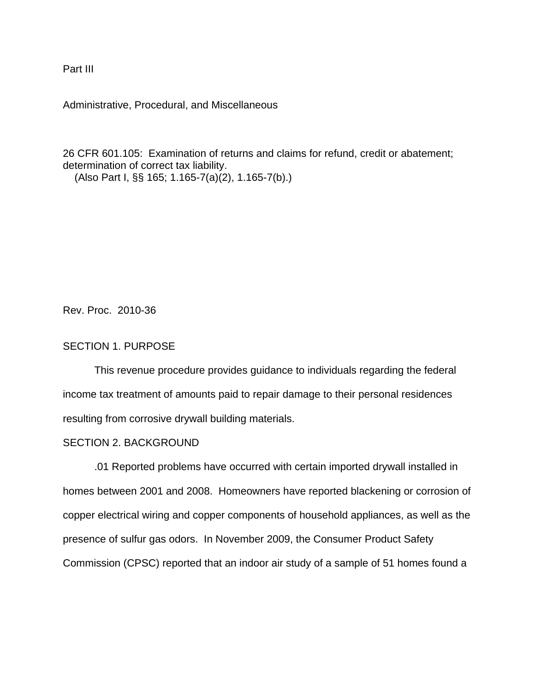Part III

Administrative, Procedural, and Miscellaneous

26 CFR 601.105: Examination of returns and claims for refund, credit or abatement; determination of correct tax liability. (Also Part I, §§ 165; 1.165-7(a)(2), 1.165-7(b).)

Rev. Proc. 2010-36

# SECTION 1. PURPOSE

This revenue procedure provides guidance to individuals regarding the federal income tax treatment of amounts paid to repair damage to their personal residences resulting from corrosive drywall building materials.

# SECTION 2. BACKGROUND

.01 Reported problems have occurred with certain imported drywall installed in homes between 2001 and 2008. Homeowners have reported blackening or corrosion of copper electrical wiring and copper components of household appliances, as well as the presence of sulfur gas odors. In November 2009, the Consumer Product Safety Commission (CPSC) reported that an indoor air study of a sample of 51 homes found a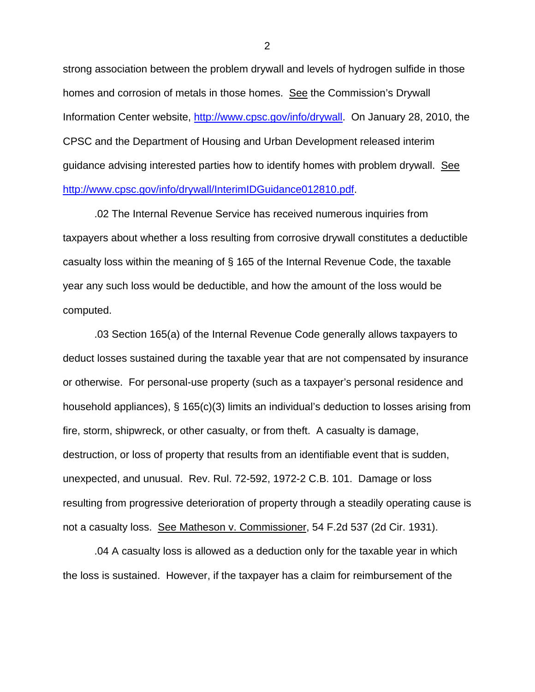strong association between the problem drywall and levels of hydrogen sulfide in those homes and corrosion of metals in those homes. See the Commission's Drywall Information Center website, http://www.cpsc.gov/info/drywall. On January 28, 2010, the CPSC and the Department of Housing and Urban Development released interim guidance advising interested parties how to identify homes with problem drywall. See http://www.cpsc.gov/info/drywall/InterimIDGuidance012810.pdf.

.02 The Internal Revenue Service has received numerous inquiries from taxpayers about whether a loss resulting from corrosive drywall constitutes a deductible casualty loss within the meaning of § 165 of the Internal Revenue Code, the taxable year any such loss would be deductible, and how the amount of the loss would be computed.

.03 Section 165(a) of the Internal Revenue Code generally allows taxpayers to deduct losses sustained during the taxable year that are not compensated by insurance or otherwise. For personal-use property (such as a taxpayer's personal residence and household appliances), § 165(c)(3) limits an individual's deduction to losses arising from fire, storm, shipwreck, or other casualty, or from theft. A casualty is damage, destruction, or loss of property that results from an identifiable event that is sudden, unexpected, and unusual. Rev. Rul. 72-592, 1972-2 C.B. 101. Damage or loss resulting from progressive deterioration of property through a steadily operating cause is not a casualty loss. See Matheson v. Commissioner, 54 F.2d 537 (2d Cir. 1931).

.04 A casualty loss is allowed as a deduction only for the taxable year in which the loss is sustained. However, if the taxpayer has a claim for reimbursement of the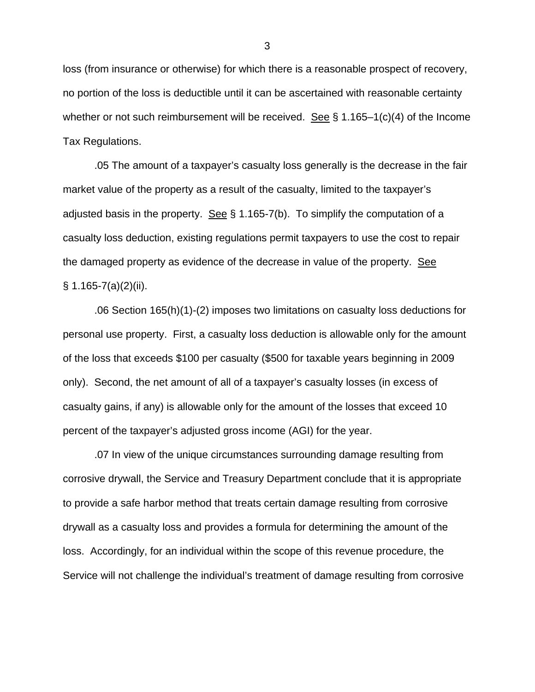loss (from insurance or otherwise) for which there is a reasonable prospect of recovery, no portion of the loss is deductible until it can be ascertained with reasonable certainty whether or not such reimbursement will be received. See  $\S$  1.165–1(c)(4) of the Income Tax Regulations.

.05 The amount of a taxpayer's casualty loss generally is the decrease in the fair market value of the property as a result of the casualty, limited to the taxpayer's adjusted basis in the property. See  $\S$  1.165-7(b). To simplify the computation of a casualty loss deduction, existing regulations permit taxpayers to use the cost to repair the damaged property as evidence of the decrease in value of the property. See  $\S$  1.165-7(a)(2)(ii).

.06 Section 165(h)(1)-(2) imposes two limitations on casualty loss deductions for personal use property. First, a casualty loss deduction is allowable only for the amount of the loss that exceeds \$100 per casualty (\$500 for taxable years beginning in 2009 only). Second, the net amount of all of a taxpayer's casualty losses (in excess of casualty gains, if any) is allowable only for the amount of the losses that exceed 10 percent of the taxpayer's adjusted gross income (AGI) for the year.

.07 In view of the unique circumstances surrounding damage resulting from corrosive drywall, the Service and Treasury Department conclude that it is appropriate to provide a safe harbor method that treats certain damage resulting from corrosive drywall as a casualty loss and provides a formula for determining the amount of the loss. Accordingly, for an individual within the scope of this revenue procedure, the Service will not challenge the individual's treatment of damage resulting from corrosive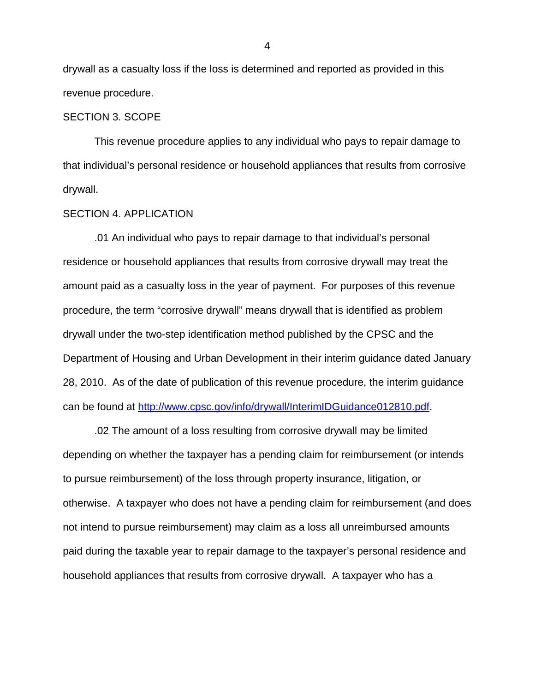drywall as a casualty loss if the loss is determined and reported as provided in this revenue procedure.

#### SECTION 3. SCOPE

This revenue procedure applies to any individual who pays to repair damage to that individual's personal residence or household appliances that results from corrosive drywall.

## SECTION 4. APPLICATION

.01 An individual who pays to repair damage to that individual's personal residence or household appliances that results from corrosive drywall may treat the amount paid as a casualty loss in the year of payment. For purposes of this revenue procedure, the term "corrosive drywall" means drywall that is identified as problem drywall under the two-step identification method published by the CPSC and the Department of Housing and Urban Development in their interim guidance dated January 28, 2010. As of the date of publication of this revenue procedure, the interim guidance can be found at http://www.cpsc.gov/info/drywall/InterimIDGuidance012810.pdf.

.02 The amount of a loss resulting from corrosive drywall may be limited depending on whether the taxpayer has a pending claim for reimbursement (or intends to pursue reimbursement) of the loss through property insurance, litigation, or otherwise. A taxpayer who does not have a pending claim for reimbursement (and does not intend to pursue reimbursement) may claim as a loss all unreimbursed amounts paid during the taxable year to repair damage to the taxpayer's personal residence and household appliances that results from corrosive drywall. A taxpayer who has a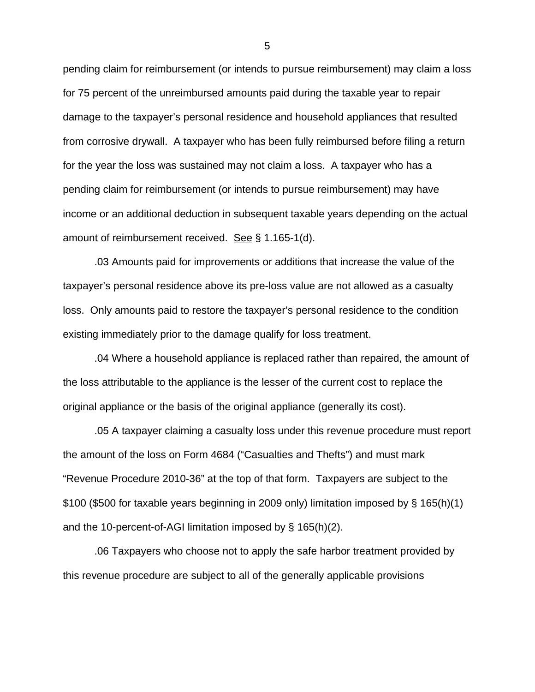pending claim for reimbursement (or intends to pursue reimbursement) may claim a loss for 75 percent of the unreimbursed amounts paid during the taxable year to repair damage to the taxpayer's personal residence and household appliances that resulted from corrosive drywall. A taxpayer who has been fully reimbursed before filing a return for the year the loss was sustained may not claim a loss. A taxpayer who has a pending claim for reimbursement (or intends to pursue reimbursement) may have income or an additional deduction in subsequent taxable years depending on the actual amount of reimbursement received. See § 1.165-1(d).

.03 Amounts paid for improvements or additions that increase the value of the taxpayer's personal residence above its pre-loss value are not allowed as a casualty loss. Only amounts paid to restore the taxpayer's personal residence to the condition existing immediately prior to the damage qualify for loss treatment.

.04 Where a household appliance is replaced rather than repaired, the amount of the loss attributable to the appliance is the lesser of the current cost to replace the original appliance or the basis of the original appliance (generally its cost).

.05 A taxpayer claiming a casualty loss under this revenue procedure must report the amount of the loss on Form 4684 ("Casualties and Thefts") and must mark "Revenue Procedure 2010-36" at the top of that form. Taxpayers are subject to the \$100 (\$500 for taxable years beginning in 2009 only) limitation imposed by § 165(h)(1) and the 10-percent-of-AGI limitation imposed by § 165(h)(2).

.06 Taxpayers who choose not to apply the safe harbor treatment provided by this revenue procedure are subject to all of the generally applicable provisions